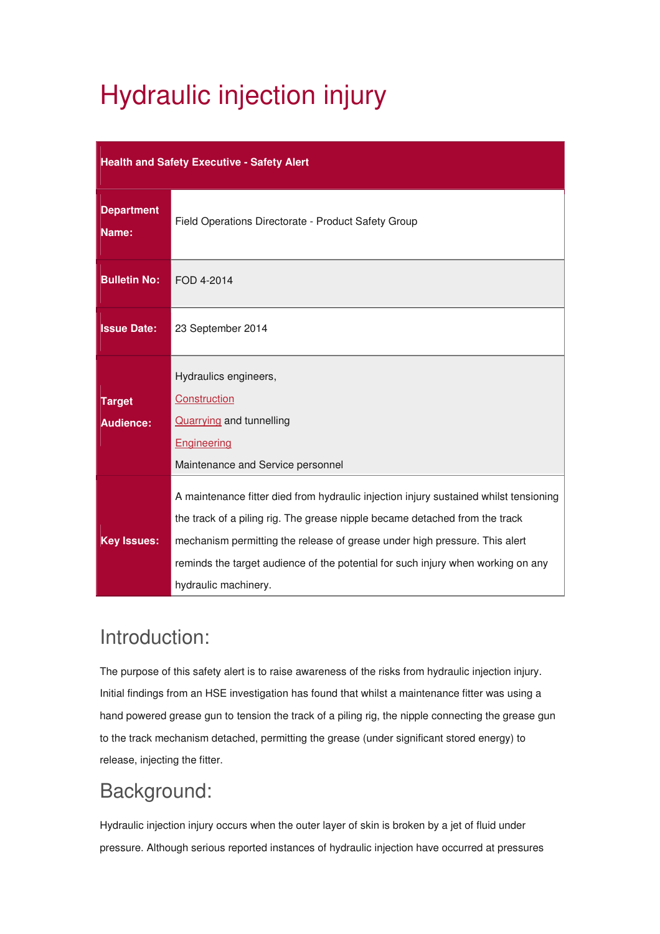# Hydraulic injection injury

| <b>Health and Safety Executive - Safety Alert</b> |                                                                                                                                                                                                                                                                                                                                                                |
|---------------------------------------------------|----------------------------------------------------------------------------------------------------------------------------------------------------------------------------------------------------------------------------------------------------------------------------------------------------------------------------------------------------------------|
| <b>Department</b><br>Name:                        | Field Operations Directorate - Product Safety Group                                                                                                                                                                                                                                                                                                            |
| <b>Bulletin No:</b>                               | FOD 4-2014                                                                                                                                                                                                                                                                                                                                                     |
| <b>Issue Date:</b>                                | 23 September 2014                                                                                                                                                                                                                                                                                                                                              |
| <b>Target</b><br><b>Audience:</b>                 | Hydraulics engineers,<br>Construction<br><b>Quarrying and tunnelling</b><br>Engineering<br>Maintenance and Service personnel                                                                                                                                                                                                                                   |
| <b>Key Issues:</b>                                | A maintenance fitter died from hydraulic injection injury sustained whilst tensioning<br>the track of a piling rig. The grease nipple became detached from the track<br>mechanism permitting the release of grease under high pressure. This alert<br>reminds the target audience of the potential for such injury when working on any<br>hydraulic machinery. |

# Introduction:

The purpose of this safety alert is to raise awareness of the risks from hydraulic injection injury. Initial findings from an HSE investigation has found that whilst a maintenance fitter was using a hand powered grease gun to tension the track of a piling rig, the nipple connecting the grease gun to the track mechanism detached, permitting the grease (under significant stored energy) to release, injecting the fitter.

# Background:

Hydraulic injection injury occurs when the outer layer of skin is broken by a jet of fluid under pressure. Although serious reported instances of hydraulic injection have occurred at pressures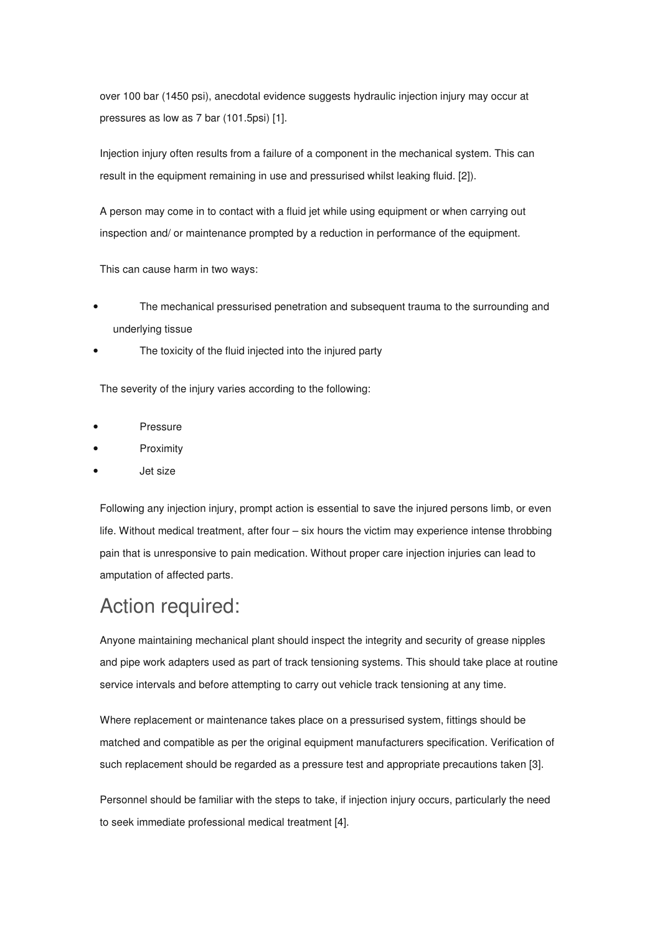over 100 bar (1450 psi), anecdotal evidence suggests hydraulic injection injury may occur at pressures as low as 7 bar (101.5psi) [1].

Injection injury often results from a failure of a component in the mechanical system. This can result in the equipment remaining in use and pressurised whilst leaking fluid. [2]).

A person may come in to contact with a fluid jet while using equipment or when carrying out inspection and/ or maintenance prompted by a reduction in performance of the equipment.

This can cause harm in two ways:

- The mechanical pressurised penetration and subsequent trauma to the surrounding and underlying tissue
- The toxicity of the fluid injected into the injured party

The severity of the injury varies according to the following:

- **Pressure**
- **Proximity**
- Jet size

Following any injection injury, prompt action is essential to save the injured persons limb, or even life. Without medical treatment, after four – six hours the victim may experience intense throbbing pain that is unresponsive to pain medication. Without proper care injection injuries can lead to amputation of affected parts.

#### Action required:

Anyone maintaining mechanical plant should inspect the integrity and security of grease nipples and pipe work adapters used as part of track tensioning systems. This should take place at routine service intervals and before attempting to carry out vehicle track tensioning at any time.

Where replacement or maintenance takes place on a pressurised system, fittings should be matched and compatible as per the original equipment manufacturers specification. Verification of such replacement should be regarded as a pressure test and appropriate precautions taken [3].

Personnel should be familiar with the steps to take, if injection injury occurs, particularly the need to seek immediate professional medical treatment [4].